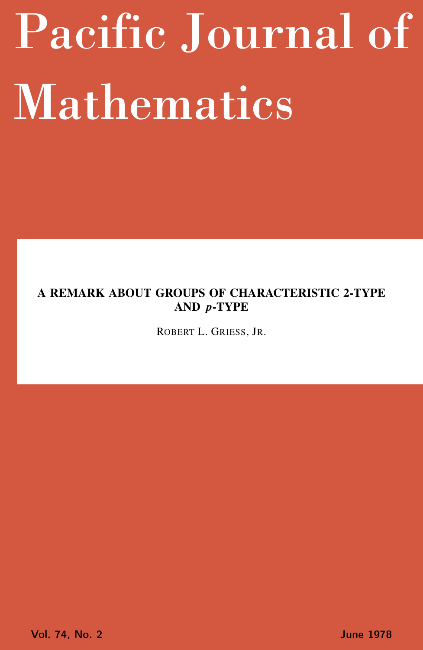# <span id="page-0-0"></span>Pacific Journal of Mathematics

## A REMARK ABOUT GROUPS OF CHARACTERISTIC 2-TYPE AND *p*-TYPE

ROBERT L. GRIESS, JR.

Vol. 74, No. 2 June 1978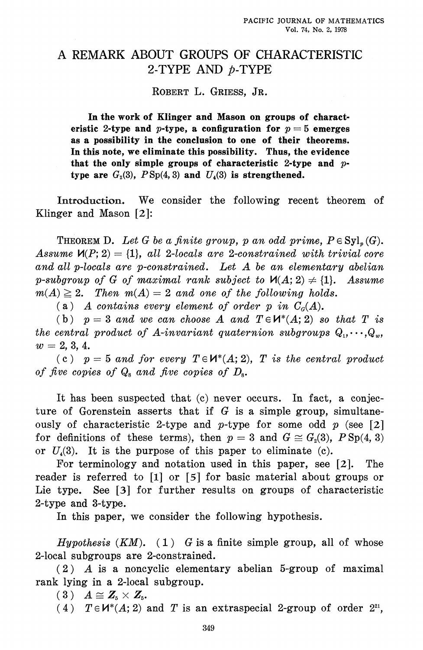## A REMARK ABOUT GROUPS OF CHARACTERISTIC 2-TYPE AND p-TYPE

ROBERT L. GRIESS, JR.

In the work of Klinger and Mason on groups of characteristic 2-type and p-type, a configuration for  $p=5$  emerges as a possibility in the conclusion to one of their theorems. In this note, we eliminate this possibility. Thus, the evidence that the only simple groups of characteristic 2-type and  $p$ type are  $G_2(3)$ ,  $PSp(4,3)$  and  $U_4(3)$  is strengthened.

Introduction. We consider the following recent theorem of Klinger and Mason  $[2]$ :

**THEOREM D.** Let G be a finite group, p an odd prime,  $P \in \text{Syl}_n(G)$ . Assume  $\mathcal{M}(P; 2) = \{1\}$ , all 2-locals are 2-constrained with trivial core and all p-locals are p-constrained. Let A be an elementary abelian p-subgroup of G of maximal rank subject to  $\mathcal{M}(A; 2) \neq \{1\}$ . Assume  $m(A) \geq 2$ . Then  $m(A) = 2$  and one of the following holds.

(a) A contains every element of order p in  $C<sub>q</sub>(A)$ .

(b)  $p = 3$  and we can choose A and  $T \in H^*(A; 2)$  so that T is the central product of A-invariant quaternion subgroups  $Q_1, \dots, Q_w$  $w = 2, 3, 4.$ 

(c)  $p = 5$  and for every  $T \in H^*(A; 2)$ , T is the central product of five copies of  $Q_s$  and five copies of  $D_s$ .

It has been suspected that (c) never occurs. In fact, a conjecture of Gorenstein asserts that if  $G$  is a simple group, simultaneously of characteristic 2-type and p-type for some odd  $p$  (see [2] for definitions of these terms), then  $p = 3$  and  $G \cong G<sub>2</sub>(3)$ ,  $P \text{Sp}(4, 3)$ or  $U_4(3)$ . It is the purpose of this paper to eliminate (c).

For terminology and notation used in this paper, see  $[2]$ .  $The$ reader is referred to [1] or [5] for basic material about groups or Lie type. See [3] for further results on groups of characteristic 2-type and 3-type.

In this paper, we consider the following hypothesis.

*Hypothesis*  $(KM)$ . (1) G is a finite simple group, all of whose 2-local subgroups are 2-constrained.

 $(2)$  A is a noncyclic elementary abelian 5-group of maximal rank lying in a 2-local subgroup.

 $(3)$   $A \cong Z_5 \times Z_5$ .

(4)  $T \in \mathcal{U}^*(A; 2)$  and T is an extraspecial 2-group of order  $2^{2i}$ ,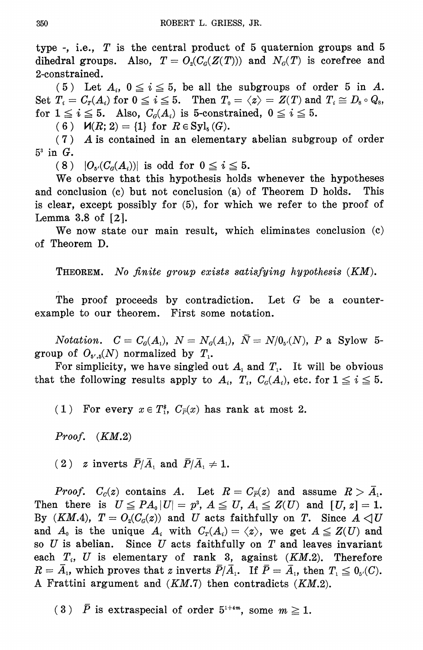type -, i.e.,  $T$  is the central product of 5 quaternion groups and 5 dihedral groups. Also,  $T = O_2(C_G(Z(T)))$  and  $N_G(T)$  is corefree and 2-constrained.

(5) Let  $A_i$ ,  $0 \le i \le 5$ , be all the subgroups of order 5 in A. Set  $T_i = C_T(A_i)$  for  $0 \le i \le 5$ . Then  $T_0 = \langle z \rangle = Z(T)$  and  $T_i \cong D_s \circ Q_s$ , for  $1 \leq i \leq 5$ . Also,  $C_q(A_i)$  is 5-constrained,  $0 \leq i \leq 5$ .

(6)  $\mathcal{U}(R; 2) = \{1\}$  for  $R \in Syl_{\kappa}(G)$ .

 $(7)$  A is contained in an elementary abelian subgroup of order  $5^3$  in  $G$ .

 $(8)$   $|O_{\mathfrak{g}'}(C_{\mathfrak{g}}(A_i))|$  is odd for  $0 \leq i \leq 5$ .

We observe that this hypothesis holds whenever the hypotheses and conclusion (c) but not conclusion (a) of Theorem D holds.  $\bm{{\rm This}}$ is clear, except possibly for (5), for which we refer to the proof of Lemma 3.8 of  $[2]$ .

We now state our main result, which eliminates conclusion (c) of Theorem D.

**THEOREM.** No finite group exists satisfying hypothesis (KM).

The proof proceeds by contradiction. Let  $G$  be a counterexample to our theorem. First some notation.

*Notation.*  $C = C_{\mathcal{G}}(A_1), N = N_{\mathcal{G}}(A_1), \bar{N} = N/0_{\mathfrak{s}'}(N), P$  a Sylow 5group of  $O_{\mathfrak{p}',\mathfrak{b}}(N)$  normalized by  $T_1$ .

For simplicity, we have singled out  $A_i$  and  $T_i$ . It will be obvious that the following results apply to  $A_i$ ,  $T_i$ ,  $C_q(A_i)$ , etc. for  $1 \leq i \leq 5$ .

(1) For every  $x \in T_1^*$ ,  $C_{\overline{P}}(x)$  has rank at most 2.

Proof.  $(KM.2)$ 

(2) z inverts  $\bar{P}/\bar{A}$ , and  $\bar{P}/\bar{A}$ ,  $\neq$  1.

*Proof.*  $C_c(z)$  contains A. Let  $R = C_{\overline{P}}(z)$  and assume  $R > \overline{A}_1$ . Then there is  $U \leq PA_0 |U| = p^3$ ,  $A \leq U$ ,  $A_1 \leq Z(U)$  and  $[U, z] = 1$ . By (KM.4),  $T = O_2(C_q(z))$  and U acts faithfully on T. Since  $A \triangleleft U$ and  $A_0$  is the unique  $A_i$  with  $C_r(A_i) = \langle z \rangle$ , we get  $A \leq Z(U)$  and so  $U$  is abelian. Since  $U$  acts faithfully on  $T$  and leaves invariant each  $T_i$ , U is elementary of rank 3, against  $(KM.2)$ . Therefore  $R = \overline{A}_1$ , which proves that z inverts  $\overline{P}/\overline{A}_1$ . If  $\overline{P} = \overline{A}_1$ , then  $T_1 \leq 0_{\varepsilon}(C)$ . A Frattini argument and  $(KM.7)$  then contradicts  $(KM.2)$ .

(3)  $\bar{P}$  is extraspecial of order  $5^{1+4m}$ , some  $m \ge 1$ .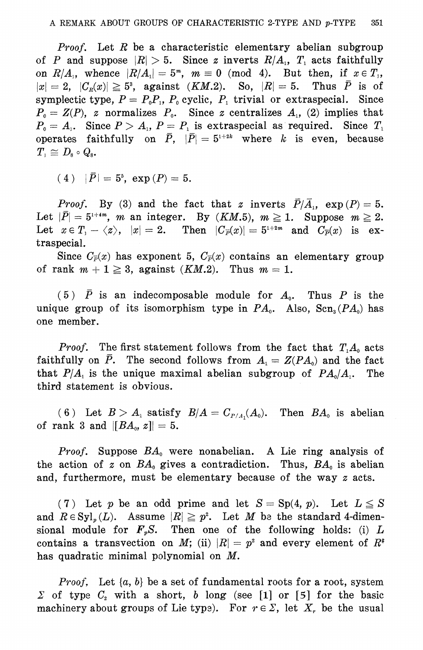*Proof.* Let  $R$  be a characteristic elementary abelian subgroup of P and suppose  $|R| > 5$ . Since z inverts  $R/A_1$ ,  $T_1$  acts faithfully on  $R/A_1$ , whence  $|R/A_1|=5^m$ ,  $m\equiv 0 \pmod{4}$ . But then, if  $x \in T_1$ ,  $|x|=2$ ,  $|C_R(x)| \geq 5^3$ , against  $(KM.2)$ . So,  $|R|=5$ . Thus  $\overline{P}$  is of symplectic type,  $P = P_0 P_1$ ,  $P_0$  cyclic,  $P_1$  trivial or extraspecial. Since  $P_0 = Z(P)$ , z normalizes  $P_0$ . Since z centralizes  $A_1$ , (2) implies that  $P_0 = A_1$ . Since  $P > A_1$ ,  $P = P_1$  is extraspecial as required. Since  $T_1$ operates faithfully on  $\overline{P}$ ,  $|\overline{P}| = 5^{1+2k}$  where k is even, because  $T_{\scriptscriptstyle{1}} \cong D_{\scriptscriptstyle{8}} \circ Q_{\scriptscriptstyle{8}}.$ 

(4)  $|\bar{P}| = 5^{\circ}$ ,  $\exp(P) = 5$ .

*Proof.* By (3) and the fact that z inverts  $\overline{P}/\overline{A}_1$ ,  $\exp(P) = 5$ . Let  $|\bar{P}| = 5^{1+4m}$ , m an integer. By (KM.5),  $m \ge 1$ . Suppose  $m \ge 2$ . Let  $x \in T_1 - \langle z \rangle$ ,  $|x| = 2$ . Then  $|C_{\overline{P}}(x)| = 5^{1+2m}$  and  $C_{\overline{P}}(x)$  is extraspecial.

Since  $C_{\overline{P}}(x)$  has exponent 5,  $C_{\overline{P}}(x)$  contains an elementary group of rank  $m + 1 \geq 3$ , against  $(KM.2)$ . Thus  $m = 1$ .

 $(5)$   $\bar{P}$  is an indecomposable module for  $A_0$ . Thus P is the unique group of its isomorphism type in  $PA_0$ . Also,  $\text{Scn}_3(PA_0)$  has one member.

*Proof.* The first statement follows from the fact that  $T<sub>1</sub>A<sub>0</sub>$  acts faithfully on  $\overline{P}$ . The second follows from  $A_1 = Z(PA_0)$  and the fact that  $P/A_1$  is the unique maximal abelian subgroup of  $PA_0/A_1$ . The third statement is obvious.

(6) Let  $B > A_1$  satisfy  $B/A = C_{P/A_1}(A_0)$ . Then  $BA_0$  is abelian of rank 3 and  $||BA_0, z|| = 5$ .

*Proof.* Suppose  $BA_0$  were nonabelian. A Lie ring analysis of the action of z on  $BA_0$  gives a contradiction. Thus,  $BA_0$  is abelian and, furthermore, must be elementary because of the way z acts.

(7) Let p be an odd prime and let  $S = Sp(4, p)$ . Let  $L \leq S$ and  $R \in \mathrm{Syl}_p(L)$ . Assume  $|R| \geq p^2$ . Let M be the standard 4-dimensional module for  $F_{\nu}S$ . Then one of the following holds: (i) L contains a transvection on M; (ii)  $|R| = p^2$  and every element of  $R^*$ has quadratic minimal polynomial on M.

*Proof.* Let  $\{a, b\}$  be a set of fundamental roots for a root, system  $\Sigma$  of type  $C<sub>2</sub>$  with a short, b long (see [1] or [5] for the basic machinery about groups of Lie type). For  $r \in \Sigma$ , let  $X_r$  be the usual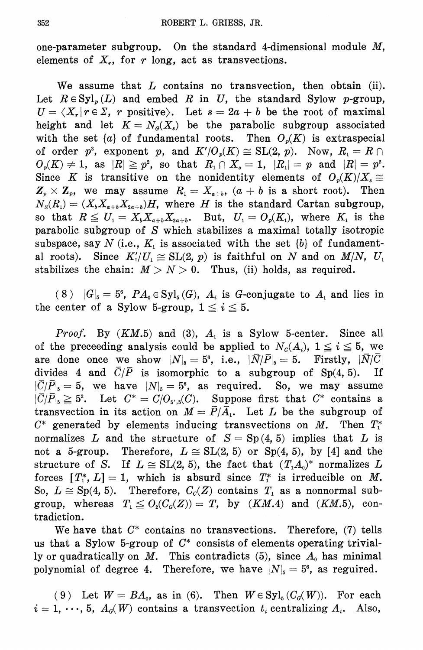one-parameter subgroup. On the standard 4-dimensional module  $M$ , elements of  $X_r$ , for r long, act as transvections.

We assume that  $L$  contains no transvection, then obtain (ii). Let  $R \in Syl_n(L)$  and embed R in U, the standard Sylow p-group,  $U = \langle X_r | r \in \Sigma$ , r positive). Let  $s = 2a + b$  be the root of maximal height and let  $K = N<sub>G</sub>(X<sub>s</sub>)$  be the parabolic subgroup associated with the set  $\{a\}$  of fundamental roots. Then  $O_n(K)$  is extraspecial of order  $p^3$ , exponent p, and  $K'/O_p(K) \cong SL(2, p)$ . Now,  $R_1 = R \cap$  $O_p(K) \neq 1$ , as  $|R| \geq p^2$ , so that  $R_1 \cap X_s = 1$ ,  $|R_1| = p$  and  $|R| = p^2$ . Since K is transitive on the nonidentity elements of  $O_n(K)/X_s \cong$  $\mathbf{Z}_{p} \times \mathbf{Z}_{p}$ , we may assume  $R_{i} = X_{a+b}$ ,  $(a + b)$  is a short root). Then  $N_s(R_1) = (X_b X_{a+b} X_{2a+b})H$ , where H is the standard Cartan subgroup, so that  $R \leq U_1 = X_h X_{a+h} X_{2a+h}$ . But,  $U_1 = O_a(K_1)$ , where  $K_1$  is the parabolic subgroup of S which stabilizes a maximal totally isotropic subspace, say N (i.e.,  $K_i$  is associated with the set  $\{b\}$  of fundamental roots). Since  $K_1' / U_1 \cong SL(2, p)$  is faithful on N and on  $M/N$ ,  $U_1$ stabilizes the chain:  $M > N > 0$ . Thus, (ii) holds, as required.

(8)  $|G|_5 = 5^6$ ,  $PA_0 \in \text{Syl}_5(G)$ ,  $A_i$  is G-conjugate to  $A_i$  and lies in the center of a Sylow 5-group,  $1 \leq i \leq 5$ .

*Proof.* By  $(KM.5)$  and (3),  $A_1$  is a Sylow 5-center. Since all of the preceeding analysis could be applied to  $N_a(A_i)$ ,  $1 \leq i \leq 5$ , we are done once we show  $|N|_5 = 5^6$ , i.e.,  $|\bar{N}/\bar{P}|_5 = 5$ . Firstly,  $|\bar{N}/\bar{C}|$ divides 4 and  $\overline{C}/\overline{P}$  is isomorphic to a subgroup of Sp(4, 5).  $\mathbf{If}$  $|\overline{C}/\overline{P}|_5=5$ , we have  $|N|_5=5^6$ , as required. So, we may assume  $|\overline{C}/\overline{P}|_s \geq 5^2$ . Let  $C^* = C/O_{s',5}(C)$ . Suppose first that  $C^*$  contains a transvection in its action on  $M = \overline{P}/\overline{A}_1$ . Let L be the subgroup of  $C^*$  generated by elements inducing transvections on M. Then  $T_1^*$ normalizes L and the structure of  $S = Sp(4, 5)$  implies that L is not a 5-group. Therefore,  $L \approx SL(2, 5)$  or  $Sp(4, 5)$ , by [4] and the structure of S. If  $L \approx SL(2, 5)$ , the fact that  $(T A_0)^*$  normalizes L forces  $[T_1^*, L] = 1$ , which is absurd since  $T_1^*$  is irreducible on M. So,  $L \cong Sp(4, 5)$ . Therefore,  $C_c(Z)$  contains  $T_1$  as a nonnormal subgroup, whereas  $T_1 \leq O_2(C_G(Z)) = T$ , by  $(KM.4)$  and  $(KM.5)$ , contradiction.

We have that  $C^*$  contains no transvections. Therefore, (7) tells us that a Sylow 5-group of  $C^*$  consists of elements operating trivially or quadratically on M. This contradicts  $(5)$ , since  $A_0$  has minimal polynomial of degree 4. Therefore, we have  $|N|_5 = 5^6$ , as reguired.

(9) Let  $W = BA_0$ , as in (6). Then  $W \in Syl_s(C_c(W))$ . For each  $i=1,\dots,5$ ,  $A_d(W)$  contains a transvection  $t_i$  centralizing  $A_i$ . Also,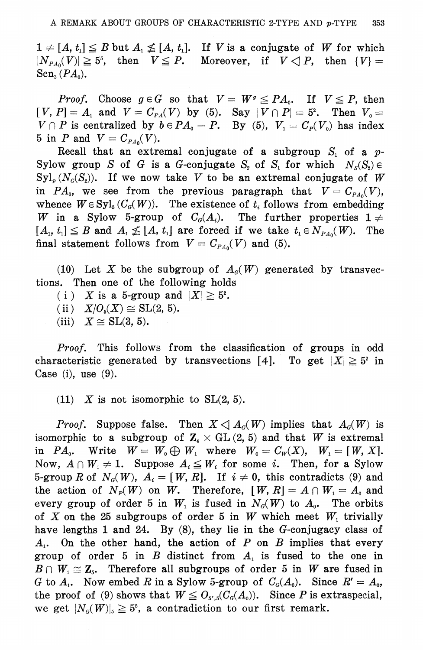$1 \neq [A, t_1] \leq B$  but  $A_1 \nleq [A, t_1]$ . If V is a conjugate of W for which  $|N_{PA_0}(V)| \geq 5^5$ , then  $V \leq P$ . Moreover, if  $V \leq P$ , then  $\{V\}$  =  $\operatorname{Sen}_{3}(PA_{0}).$ 

*Proof.* Choose  $g \in G$  so that  $V = W^g \leq PA_0$ . If  $V \leq P$ , then  $[V, P] = A_1$  and  $V = C_{P_1}(V)$  by (5). Say  $|V \cap P| = 5^2$ . Then  $V_0 =$  $V \cap P$  is centralized by  $b \in PA_0 - P$ . By (5),  $V_1 = C_P(V_0)$  has index 5 in *P* and  $V = C_{PA_0}(V)$ .

Recall that an extremal conjugate of a subgroup  $S_i$  of a  $p$ -Sylow group S of G is a G-conjugate  $S_2$  of  $S_1$  for which  $N_S(S_2) \in$  $\text{Syl}_p(N_o(S_2))$ . If we now take V to be an extremal conjugate of W in  $PA_0$ , we see from the previous paragraph that  $V = C_{PA_0}(V)$ , whence  $W \in SyI_5(C_q(W))$ . The existence of  $t_i$  follows from embedding W in a Sylow 5-group of  $C_{\mathcal{G}}(A_i)$ . The further properties  $1 \neq$  $[A_1, t_1] \leq B$  and  $A_1 \nleq [A, t_1]$  are forced if we take  $t_1 \in N_{PA_0}(W)$ . The final statement follows from  $V = C_{PA_0}(V)$  and (5).

(10) Let X be the subgroup of  $A_{\mathcal{G}}(W)$  generated by transvections. Then one of the following holds

- (i) X is a 5-group and  $|X| \geq 5^2$ .
- (ii)  $X/O_5(X) \cong SL(2, 5)$ .

(iii)  $X \cong SL(3, 5)$ .

*Proof.* This follows from the classification of groups in odd characteristic generated by transvections [4]. To get  $|X| \geq 5^{\circ}$  in Case (i), use  $(9)$ .

(11) X is not isomorphic to  $SL(2, 5)$ .

*Proof.* Suppose false. Then  $X \triangleleft A_{\alpha}(W)$  implies that  $A_{\alpha}(W)$  is isomorphic to a subgroup of  $\mathbb{Z}_4 \times$  GL (2, 5) and that W is extremal in  $PA_0$ . Write  $W = W_0 \bigoplus W_1$  where  $W_0 = C_W(X)$ ,  $W_1 = [W, X]$ . Now,  $A \cap W_1 \neq 1$ . Suppose  $A_i \leq W_i$  for some *i*. Then, for a Sylow 5-group R of  $N_c(W)$ ,  $A_i = [W, R]$ . If  $i \neq 0$ , this contradicts (9) and the action of  $N_P(W)$  on W. Therefore,  $[W, R] = A \cap W_1 = A_0$  and every group of order 5 in  $W_1$  is fused in  $N_a(W)$  to  $A_0$ . The orbits of X on the 25 subgroups of order 5 in W which meet  $W_1$  trivially have lengths 1 and 24. By  $(8)$ , they lie in the G-conjugacy class of  $A_1$ . On the other hand, the action of P on B implies that every group of order 5 in  $B$  distinct from  $A<sub>1</sub>$  is fused to the one in  $B \cap W_1 \cong \mathbb{Z}_5$ . Therefore all subgroups of order 5 in W are fused in G to  $A_1$ . Now embed R in a Sylow 5-group of  $C_q(A_0)$ . Since  $R' = A_0$ , the proof of (9) shows that  $W \leq O_{\delta',\delta}(C_{\delta}(A_{\delta}))$ . Since P is extraspecial, we get  $|N_a(W)|_5 \geq 5^5$ , a contradiction to our first remark.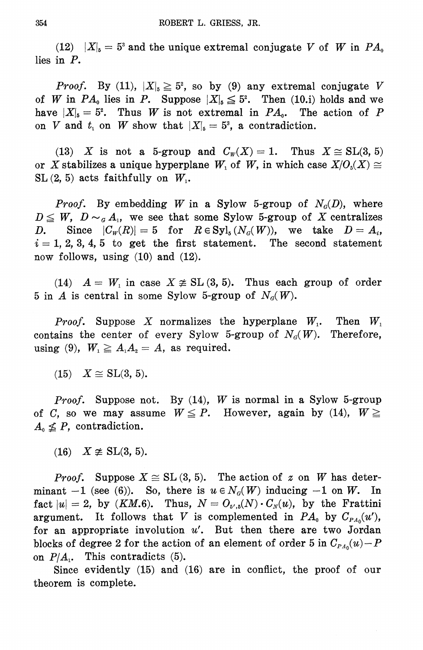(12)  $|X|_5 = 5^3$  and the unique extremal conjugate V of W in  $PA_0$ lies in  $P$ .

*Proof.* By (11),  $|X|_5 \geq 5^2$ , so by (9) any extremal conjugate V of W in  $PA_0$  lies in P. Suppose  $|X|_5 \leq 5^2$ . Then (10.i) holds and we have  $|X|_5 = 5^2$ . Thus W is not extremal in  $PA_0$ . The action of P on V and  $t_1$  on W show that  $|X|_5 = 5^3$ , a contradiction.

(13) X is not a 5-group and  $C_w(X) = 1$ . Thus  $X \cong SL(3, 5)$ or X stabilizes a unique hyperplane  $W_1$  of W, in which case  $X/O_s(X) \cong$  $SL(2, 5)$  acts faithfully on  $W_1$ .

*Proof.* By embedding W in a Sylow 5-group of  $N_a(D)$ , where  $D \leq W$ ,  $D \sim_{\sigma} A_1$ , we see that some Sylow 5-group of X centralizes Since  $|C_w(R)| = 5$  for  $R \in Syl_5(N_G(W))$ , we take  $D = A_s$ ,  $D_{\bullet}$  $i = 1, 2, 3, 4, 5$  to get the first statement. The second statement now follows, using  $(10)$  and  $(12)$ .

(14)  $A = W_1$  in case  $X \not\cong SL(3, 5)$ . Thus each group of order 5 in A is central in some Sylow 5-group of  $N_c(W)$ .

*Proof.* Suppose X normalizes the hyperplane  $W_1$ . Then  $W_1$ contains the center of every Sylow 5-group of  $N<sub>d</sub>(W)$ . Therefore, using (9),  $W_1 \geq A_1 A_2 = A$ , as required.

 $(15)$   $X \cong$  SL(3, 5).

*Proof.* Suppose not. By  $(14)$ , W is normal in a Sylow 5-group of C, so we may assume  $W \le P$ . However, again by (14),  $W \ge$  $A_0 \nleq P$ , contradiction.

 $(16)$   $X \not\cong$  SL(3, 5).

*Proof.* Suppose  $X \cong SL(3, 5)$ . The action of z on W has determinant  $-1$  (see (6)). So, there is  $u \in N_G(W)$  inducing  $-1$  on W. In fact  $|u|=2$ , by (KM.6). Thus,  $N=O_{5^{\prime},5}(N)\cdot C_{N}(u)$ , by the Frattini argument. It follows that V is complemented in  $PA_0$  by  $C_{PA_0}(u')$ , for an appropriate involution  $u'$ . But then there are two Jordan blocks of degree 2 for the action of an element of order 5 in  $C_{PA_0}(u) - P$ on  $P/A<sub>1</sub>$ . This contradicts (5).

Since evidently  $(15)$  and  $(16)$  are in conflict, the proof of our theorem is complete.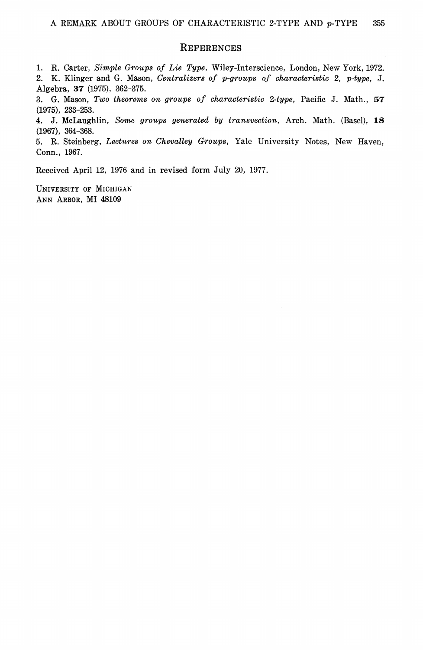#### REFERENCES

1. R. Carter, Simple Groups of Lie Type, Wiley-Interscience, London, New York, 1972. 2. K. Klinger and G. Mason, Centralizers of p-groups of characteristic 2, p-type, J. Algebra, 37 (1975), 362-375.

3. G. Mason, Two theorems on groups of characteristic 2-type, Pacific J. Math., 57  $(1975), 233 - 253.$ 

4. J. McLaughlin, Some groups generated by transvection, Arch. Math. (Basel), 18  $(1967), 364-368.$ 

5. R. Steinberg, Lectures on Chevalley Groups, Yale University Notes, New Haven, Conn., 1967.

Received April 12, 1976 and in revised form July 20, 1977.

UNIVERSITY OF MICHIGAN ANN ARBOR, MI 48109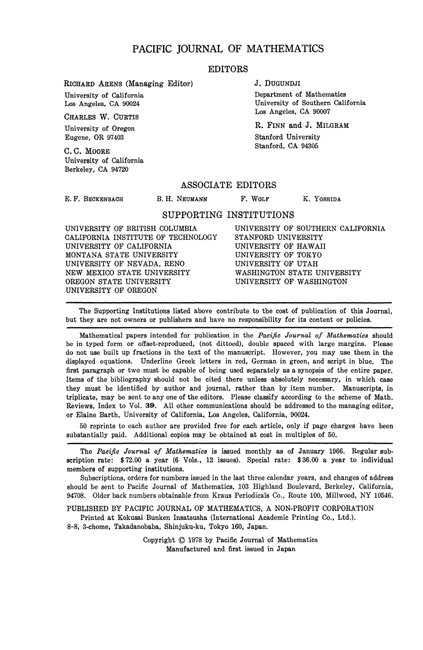## PACIFIC JOURNAL OF MATHEMATICS

#### EDITORS

**RICHARD ARENS (Managing Editor)**

University of California Los Angeles, CA 90024

CHARLES W. CURTIS

University of Oregon Eugene, OR 97403

C.C. MOORE University of California Berkeley, CA 94720

#### J. DUGUNDJI

Department of Mathematics University of Southern California Los Angeles, CA 90007

R. FINN and J. MILGRAM Stanford University Stanford, CA 94305

#### ASSOCIATE EDITORS

E. F. BECKENBACH

B. H. NEUMANN F. WOLF

**K. YOSHIDA**

### SUPPORTING INSTITUTIONS

UNIVERSITY OF BRITISH COLUMBIA CALIFORNIA INSTITUTE OF TECHNOLOGY UNIVERSITY OF CALIFORNIA MONTANA STATE UNIVERSITY UNIVERSITY OF NEVADA, RENO NEW MEXICO STATE UNIVERSITY OREGON STATE UNIVERSITY UNIVERSITY OF OREGON

UNIVERSITY OF SOUTHERN CALIFORNIA STANFORD UNIVERSITY UNIVERSITY OF HAWAII UNIVERSITY OF TOKYO UNIVERSITY OF UTAH WASHINGTON STATE UNIVERSITY UNIVERSITY OF WASHINGTON

The Supporting Institutions listed above contribute to the cost of publication of this Journal, but they are not owners or publishers and have no responsibility for its content or policies.

Mathematical papers intended for publication in the *Pacific Journal of Mathematics* should be in typed form or offset-reproduced, (not dittoed), double spaced with large margins. Please do not use built up fractions in the text of the manuscript. However, you may use them in the displayed equations. Underline Greek letters in red, German in green, and script in blue. The first paragraph or two must be capable of being used separately as a synopsis of the entire paper. Items of the bibliography should not be cited there unless absolutely necessary, in which case they must be identified by author and journal, rather than by item number. Manuscripts, in triplicate, may be sent to any one of the editors. Please classify according to the scheme of Math. Reviews, Index to Vol. 39. All other communications should be addressed to the managing editor, or Elaine Barth, University of California, Los Angeles, California, 90024.

50 reprints to each author are provided free for each article, only if page charges have been substantially paid. Additional copies may be obtained at cost in multiples of 50.

The *Pacific Journal of Mathematics* is issued monthly as of January 1966. Regular subscription rate: \$72.00 a year (6 Vols., 12 issues). Special rate: \$36.00 a year to individual members of supporting institutions.

Subscriptions, orders for numbers issued in the last three calendar years, and changes of address should be sent to Pacific Journal of Mathematics, 103 Highland Boulevard, Berkeley, California, 94708. Older back numbers obtainable from Kraus Periodicals Co., Route 100, Millwood, NY 10546.

PUBLISHED BY PACIFIC JOURNAL OF MATHEMATICS, A NON-PROFIT CORPORATION

Printed at Kokusai Bunken Insatsusha (International Academic Printing Co., Ltd.).

8-8, 3-chome, Takadanobaba, Shinjuku-ku, Tokyo 160, Japan.

Copyright © 1978 by Pacific Journal of Mathematics Manufactured and first issued in Japan